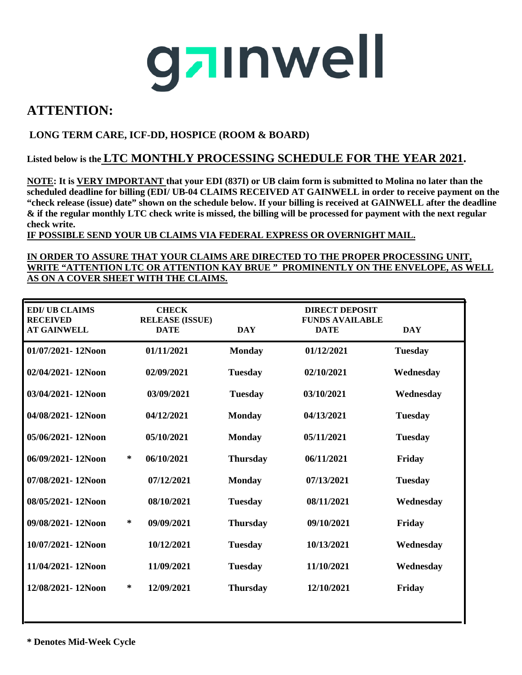## gainwell

### **ATTENTION:**

#### **LONG TERM CARE, ICF-DD, HOSPICE (ROOM & BOARD)**

#### **Listed below is the LTC MONTHLY PROCESSING SCHEDULE FOR THE YEAR 2021.**

**NOTE: It is VERY IMPORTANT that your EDI (837I) or UB claim form is submitted to Molina no later than the scheduled deadline for billing (EDI/ UB-04 CLAIMS RECEIVED AT GAINWELL in order to receive payment on the "check release (issue) date" shown on the schedule below. If your billing is received at GAINWELL after the deadline & if the regular monthly LTC check write is missed, the billing will be processed for payment with the next regular check write.**

**IF POSSIBLE SEND YOUR UB CLAIMS VIA FEDERAL EXPRESS OR OVERNIGHT MAIL.** 

#### **IN ORDER TO ASSURE THAT YOUR CLAIMS ARE DIRECTED TO THE PROPER PROCESSING UNIT, WRITE "ATTENTION LTC OR ATTENTION KAY BRUE " PROMINENTLY ON THE ENVELOPE, AS WELL AS ON A COVER SHEET WITH THE CLAIMS.**

| <b>EDI/UB CLAIMS</b><br><b>RECEIVED</b><br><b>AT GAINWELL</b> | <b>CHECK</b><br><b>RELEASE (ISSUE)</b><br><b>DATE</b> | <b>DAY</b>      | <b>DIRECT DEPOSIT</b><br><b>FUNDS AVAILABLE</b><br><b>DATE</b> | <b>DAY</b>     |
|---------------------------------------------------------------|-------------------------------------------------------|-----------------|----------------------------------------------------------------|----------------|
| 01/07/2021-12Noon                                             | 01/11/2021                                            | <b>Monday</b>   | 01/12/2021                                                     | <b>Tuesday</b> |
| 02/04/2021-12Noon                                             | 02/09/2021                                            | <b>Tuesday</b>  | 02/10/2021                                                     | Wednesday      |
| 03/04/2021-12Noon                                             | 03/09/2021                                            | <b>Tuesday</b>  | 03/10/2021                                                     | Wednesday      |
| 04/08/2021-12Noon                                             | 04/12/2021                                            | <b>Monday</b>   | 04/13/2021                                                     | <b>Tuesday</b> |
| 05/06/2021-12Noon                                             | 05/10/2021                                            | <b>Monday</b>   | 05/11/2021                                                     | <b>Tuesday</b> |
| 06/09/2021-12Noon                                             | ∗<br>06/10/2021                                       | <b>Thursday</b> | 06/11/2021                                                     | Friday         |
| 07/08/2021-12Noon                                             | 07/12/2021                                            | <b>Monday</b>   | 07/13/2021                                                     | <b>Tuesday</b> |
| 08/05/2021-12Noon                                             | 08/10/2021                                            | <b>Tuesday</b>  | 08/11/2021                                                     | Wednesday      |
| 09/08/2021-12Noon                                             | ∗<br>09/09/2021                                       | <b>Thursday</b> | 09/10/2021                                                     | Friday         |
| 10/07/2021-12Noon                                             | 10/12/2021                                            | <b>Tuesday</b>  | 10/13/2021                                                     | Wednesday      |
| 11/04/2021-12Noon                                             | 11/09/2021                                            | <b>Tuesday</b>  | 11/10/2021                                                     | Wednesday      |
| 12/08/2021-12Noon                                             | ∗<br>12/09/2021                                       | <b>Thursday</b> | 12/10/2021                                                     | Friday         |
|                                                               |                                                       |                 |                                                                |                |

**\* Denotes Mid-Week Cycle**